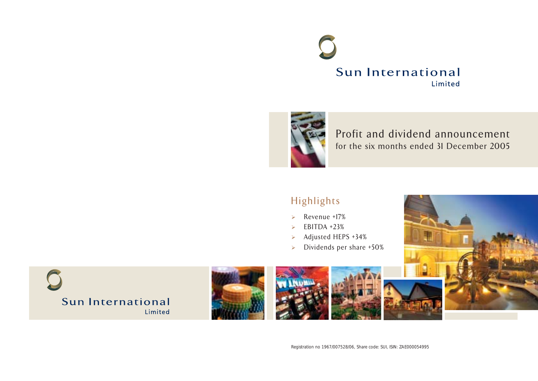



Profit and dividend announcement for the six months ended 31 December 2005

# Highlights

- $\triangleright$  Revenue +17%
- $\triangleright$  EBITDA +23%
- $\geq$  Adjusted HEPS +34%
- $\triangleright$  Dividends per share +50%



Registration no 1967/007528/06, Share code: SUI, ISIN: ZAE000054995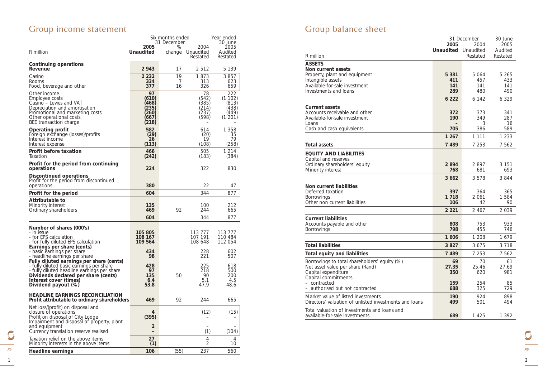# Group income statement

<u>1</u> pg

 $\mathbb{C}$ 

|                                                                                                                                                                                                                              | Six months ended<br><i>31 December</i>                  |         |                                                | Year ended<br>30 June                              |
|------------------------------------------------------------------------------------------------------------------------------------------------------------------------------------------------------------------------------|---------------------------------------------------------|---------|------------------------------------------------|----------------------------------------------------|
|                                                                                                                                                                                                                              | 2005                                                    | %       | 2004                                           | 2005                                               |
| R million                                                                                                                                                                                                                    | Unaudited                                               | change  | Unaudited<br>Restated                          | Audited<br>Restated                                |
| Continuing operations                                                                                                                                                                                                        | 2943                                                    | 17      | 2512                                           | 5 1 3 9                                            |
| Revenue<br>Casino                                                                                                                                                                                                            | 2 2 3 2                                                 | 19      | 1873                                           | 3857                                               |
| Rooms<br>Food, beverage and other                                                                                                                                                                                            | 334<br>377                                              | 7<br>16 | 313<br>326                                     | 623<br>659                                         |
| Other income<br>Employee costs<br>Casino - Levies and VAT<br>Depreciation and amortisation<br>Promotional and marketing costs<br>Other operational costs<br>BEE transaction charge                                           | 97<br>(610)<br>(468)<br>[235]<br>(260)<br>(667)<br>218) |         | 78<br>(542)<br>385)<br>(214)<br>(237)<br>(598) | 222<br>(1102)<br>(813)<br>(438)<br>(449)<br>(1201) |
| Operating profit<br>Foreign exchange (losses)/profits<br>Interest income<br>Interest expense                                                                                                                                 | 582<br>$\binom{29}{26}$<br>(113)                        |         | 614<br>$\binom{20}{19}$<br>(108)               | 1 358<br>35<br>79<br>(258)                         |
| Profit before taxation<br>Taxation                                                                                                                                                                                           | 466<br>(242)                                            |         | 505<br>(183)                                   | 1 214<br>(384)                                     |
| Profit for the period from continuing<br>operations                                                                                                                                                                          | 224                                                     |         | 322                                            | 830                                                |
| Discontinued operations<br>Profit for the period from discontinued<br>operations                                                                                                                                             | 380                                                     |         | 22                                             | 47                                                 |
| Profit for the period                                                                                                                                                                                                        | 604                                                     |         | 344                                            | 877                                                |
| Attributable to<br>Minority interest<br>Ordinary shareholders                                                                                                                                                                | 135<br>469                                              | 92      | 100<br>244                                     | 212<br>665                                         |
|                                                                                                                                                                                                                              | 604                                                     |         | 344                                            | 877                                                |
| Number of shares (000's)<br>- in issue<br>- for EPS calculation<br>- for fully diluted EPS calculation<br>Earnings per share (cents)                                                                                         | 105 805<br>108 167<br>109 564                           |         | 113 777<br>107 191<br>108 648                  | 113 777<br>110 484<br>112 054                      |
| - basic earnings per share<br>- headline earnings per share                                                                                                                                                                  | 434<br>98                                               |         | 228<br>221                                     | 602<br>507                                         |
| Fully diluted earnings per share (cents)<br>- fully diluted basic earnings per share<br>- fully diluted headline earnings per share<br>Dividends declared per share (cents)<br>Interest cover (times)<br>Dividend payout (%) | 428<br>97<br>135<br>6.4<br>53.8                         | 50      | 225<br>218<br>90<br>5.1<br>47.9                | 618<br>500<br>200<br>4.5<br>48.6                   |
| <b>HEADLINE EARNINGS RECONCILIATION</b><br>Profit attributable to ordinary shareholders                                                                                                                                      | 469                                                     | 92      | 244                                            | 665                                                |
| Net loss/(profit) on disposal and<br>closure of operations<br>Profit on disposal of City Lodge<br>Impairment and disposal of property, plant                                                                                 | 4<br>(395)                                              |         | (12)                                           | (15)                                               |
| and equipment<br>Currency translation reserve realised                                                                                                                                                                       | $\overline{2}$<br>۰                                     |         | (1)                                            | (104)                                              |
| Taxation relief on the above items<br>Minority interests in the above items                                                                                                                                                  | 27<br>(1)                                               |         | 4<br>2                                         | 4<br>10                                            |
| Headline earnings                                                                                                                                                                                                            | 106                                                     | (55)    | 237                                            | 560                                                |

# Group balance sheet

|                                                        |                  | 31 December | 30 June  |
|--------------------------------------------------------|------------------|-------------|----------|
|                                                        | 2005             | 2004        | 2005     |
|                                                        | <b>Unaudited</b> | Unaudited   | Audited  |
| R million                                              |                  | Restated    | Restated |
| ASSETS                                                 |                  |             |          |
| Non current assets                                     |                  |             |          |
| Property, plant and equipment                          | 5 3 8 1          | 5 064       | 5 265    |
| Intangible assets                                      | 411              | 457         | 433      |
| Available-for-sale investment                          | 141              | 141         | 141      |
| Investments and loans                                  | 289              | 480         | 490      |
|                                                        | 6 2 2 2          | 6 142       | 6 329    |
| <b>Current assets</b>                                  |                  |             |          |
| Accounts receivable and other                          | 372              | 373         | 341      |
| Available-for-sale investment                          | 190              | 349         | 287      |
| Loans                                                  |                  | 3           | 16       |
| Cash and cash equivalents                              | 705              | 386         | 589      |
|                                                        | 1 2 6 7          | 1 1 1 1     | 1 2 3 3  |
| Total assets                                           | 7 4 8 9          | 7 2 5 3     | 7 562    |
| EQUITY AND LIABILITIES                                 |                  |             |          |
| Capital and reserves                                   |                  |             |          |
| Ordinary shareholders' equity                          | 2894             | 2897        | 3 151    |
| Minority interest                                      | 768              | 681         | 693      |
|                                                        | 3 6 6 2          | 3578        | 3844     |
| Non current liabilities                                |                  |             |          |
| Deferred taxation                                      | 397              | 364         | 365      |
| Borrowings                                             | 1 7 1 8          | 2061        | 1 584    |
| Other non current liabilities                          | 106              | 42          | 90       |
|                                                        | 2 2 2 1          | 2467        | 2 039    |
| <b>Current liabilities</b>                             |                  |             |          |
| Accounts payable and other                             | 808              | 753         | 933      |
| Borrowings                                             | 798              | 455         | 746      |
|                                                        | 1606             | 1 208       | 1679     |
| Total liabilities                                      | 3827             | 3675        | 3 7 1 8  |
| <b>Total equity and liabilities</b>                    | 7 4 8 9          | 7 253       | 7 562    |
| Borrowings to total shareholders' equity (%)           | 69               | 70          | 61       |
| Net asset value per share (Rand)                       | 27.35            | 25.46       | 27.69    |
| Capital expenditure                                    | 350              | 620         | 981      |
| Capital commitments                                    |                  |             |          |
| - contracted                                           | 159              | 254         | 85       |
| - authorised but not contracted                        | 688              | 325         | 729      |
| Market value of listed investments                     | 190              | 924         | 898      |
| Directors' valuation of unlisted investments and loans | 499              | 501         | 494      |
| Total valuation of investments and loans and           |                  |             |          |
| available-for-sale investments                         | 689              | 1425        | 1 392    |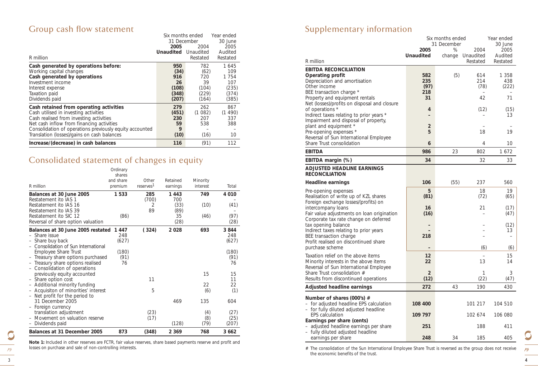# Group cash flow statement *Six months ended Year ended*

| R million                                                                                                                                                                                                                                                                          | 31 December<br>2005<br><b>Unaudited</b>             | 2004<br>Unaudited<br>Restated                       | ,,,,,,,,,,,,,,,,,<br>30 June<br>2005<br>Audited<br>Restated |
|------------------------------------------------------------------------------------------------------------------------------------------------------------------------------------------------------------------------------------------------------------------------------------|-----------------------------------------------------|-----------------------------------------------------|-------------------------------------------------------------|
| Cash generated by operations before:<br>Working capital changes<br>Cash generated by operations<br>Investment income<br>Interest expense<br>Taxation paid<br>Dividends paid                                                                                                        | 950<br>(34)<br>916<br>26<br>(108)<br>(348)<br>(207) | 782<br>(62)<br>720<br>39<br>(104)<br>(229)<br>(164) | 1 645<br>109<br>1 754<br>107<br>(235)<br>(374)<br>(385)     |
| Cash retained from operating activities<br>Cash utilised in investing activities<br>Cash realised from investing activities<br>Net cash inflow from financing activities<br>Consolidation of operations previously equity accounted<br>Translation (losses)/gains on cash balances | 279<br>(451)<br>230<br>59<br>9<br>(10)              | 262<br>(1082)<br>207<br>538<br>(16)                 | 867<br>(1490)<br>337<br>388<br>10                           |
| Increase/(decrease) in cash balances                                                                                                                                                                                                                                               | 116                                                 | (91)                                                | 112                                                         |

# Consolidated statement of changes in equity

|                                                         | Ordinary  |                       |          |            |              |
|---------------------------------------------------------|-----------|-----------------------|----------|------------|--------------|
|                                                         | shares    |                       |          |            |              |
|                                                         | and share | Other                 | Retained | Minority   |              |
| R million                                               | premium   | reserves <sup>1</sup> | earnings | interest   | Total        |
| Balances at 30 June 2005                                | 1 533     | 285                   | 1443     | 749        | 4 0 1 0      |
| Restatement ito IAS 1                                   |           | (700)                 | 700      |            |              |
| Restatement ito IAS 16                                  |           | 2                     | (33)     | (10)       | (41)         |
| Restatement ito IAS 39                                  |           | 89                    | (89)     |            |              |
| Restatement ito SIC 12                                  | (86)      |                       | 35       | (46)       | (97)         |
| Reversal of share option valuation                      |           |                       | (28)     |            | (28)         |
| Balances at 30 June 2005 restated                       | 1447      | (324)                 | 2 0 2 8  | 693        | 3844         |
| Share issue                                             | 248       |                       |          |            | 248          |
| - Share buy back                                        | (627)     |                       |          |            | (627)        |
| Consolidation of Sun International                      |           |                       |          |            |              |
| Employee Share Trust                                    | (180)     |                       |          |            | (180)        |
| Treasury share options purchased                        | (91)      |                       |          |            | (91)         |
| Treasury share options realised                         | 76        |                       |          |            | 76           |
| - Consolidation of operations                           |           |                       |          |            |              |
| previously equity accounted                             |           |                       |          | 15         | 15           |
| - Share option cost                                     |           | 11                    |          |            | 11           |
| Additional minority funding                             |           |                       |          | 22         | 22           |
| - Acquisiton of minorities' interest                    |           | 5                     |          | (6)        | (1)          |
| - Net profit for the period to                          |           |                       |          |            |              |
| 31 December 2005                                        |           |                       | 469      | 135        | 604          |
| - Foreign currency                                      |           |                       |          |            |              |
| translation adjustment<br>Movement on valuation reserve |           | (23)<br>(17)          |          | (4)<br>(8) | (27)<br>(25) |
| Dividends paid                                          |           |                       | (128)    | (79)       | (207)        |
| -                                                       |           |                       |          |            |              |
| Balances at 31 December 2005                            | 873       | (348)                 | 2 3 6 9  | 768        | 3662         |

*Note 1: Included in other reserves are FCTR, fair value reserves, share based payments reserve and profit and losses on purchase and sale of non-controlling interests.*

# Supplementary information

| R million                                                                                                                        | 2005<br><b>Unaudited</b>  | Six months ended<br>31 December<br>%<br>change | 2004<br>Unaudited<br>Restated | Year ended<br><i>30 June</i><br>2005<br>Audited<br>Restated |
|----------------------------------------------------------------------------------------------------------------------------------|---------------------------|------------------------------------------------|-------------------------------|-------------------------------------------------------------|
| <b>EBITDA RECONCILIATION</b><br>Operating profit<br>Depreciation and amortisation<br>Other income<br>BEE transaction charge *    | 582<br>235<br>(97)<br>218 | (5)                                            | 614<br>214<br>(78)            | 1 3 5 8<br>438<br>(222)                                     |
| Property and equipment rentals<br>Net (losses)/profits on disposal and closure                                                   | 31                        |                                                | 42                            | 71                                                          |
| of operations *<br>Indirect taxes relating to prior years *<br>Impairment and disposal of property,                              | 4                         |                                                | (12)                          | (15)<br>13                                                  |
| plant and equipment *<br>Pre-opening expenses *<br>Reversal of Sun International Employee                                        | $\overline{2}$<br>5       |                                                | 18                            | 19                                                          |
| Share Trust consolidation<br><b>EBITDA</b>                                                                                       | 6<br>986                  | 23                                             | 4<br>802                      | 10<br>1672                                                  |
| EBITDA margin (%)                                                                                                                | 34                        |                                                | 32                            | 33                                                          |
| <b>ADJUSTED HEADLINE EARNINGS</b><br><b>RECONCILIATION</b>                                                                       |                           |                                                |                               |                                                             |
| <b>Headline earnings</b>                                                                                                         | 106                       | (55)                                           | 237                           | 560                                                         |
| Pre-opening expenses<br>Realisation of write up of KZL shares<br>Foreign exchange losses/(profits) on                            | 5<br>(81)                 |                                                | 18<br>(72)                    | 19<br>(65)                                                  |
| intercompany loans<br>Fair value adjustments on loan origination<br>Corporate tax rate change on deferred                        | 16<br>(16)                |                                                | 21                            | (17)<br>(47)                                                |
| tax opening balance<br>Indirect taxes relating to prior years<br>BEE transaction charge<br>Profit realised on discontinued share | 218                       |                                                |                               | (12)<br>13                                                  |
| purchase scheme                                                                                                                  |                           |                                                | (6)                           | (6)                                                         |
| Taxation relief on the above items<br>Minority interests in the above items<br>Reversal of Sun International Employee            | 12<br>22                  |                                                | 13                            | 15<br>14                                                    |
| Share Trust consolidation #<br>Results from discontinued operations                                                              | 2<br>(12)                 |                                                | 1<br>(22)                     | 3<br>(47)                                                   |
| Adjusted headline earnings                                                                                                       | 272                       | 43                                             | 190                           | 430                                                         |
| Number of shares (000's) #<br>- for adjusted headline EPS calculation<br>- for fully diluted adjusted headline                   | 108 400                   |                                                | 101 217                       | 104 510                                                     |
| <b>EPS</b> calculation                                                                                                           | 109 797                   |                                                | 102 674                       | 106 080                                                     |
| Earnings per share (cents)<br>adjusted headline earnings per share<br>- fully diluted adjusted headline                          | 251                       |                                                | 188                           | 411                                                         |
| earnings per share                                                                                                               | 248                       | 34                                             | 185                           | 405                                                         |

*# The consolidation of the Sun International Employee Share Trust is reversed as the group does not receive the economic benefits of the trust.*

O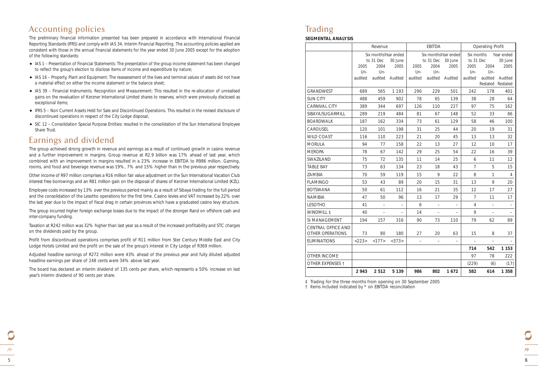The preliminary financial information presented has been prepared in accordance with International Financial Reporting Standards (IFRS) and comply with IAS 34, Interim Financial Reporting. The accounting policies applied are consistent with those in the annual financial statements for the year ended 30 June 2005 except for the adoption of the following standards:

- IAS 1 Presentation of Financial Statements: The presentation of the group income statement has been changed to reflect the group's election to disclose items of income and expenditure by nature;
- IAS 16 Property, Plant and Equipment: The reassessment of the lives and terminal values of assets did not have a material effect on either the income statement or the balance sheet;
- IAS 39 Financial Instruments. Recognition and Measurement: This resulted in the re-allocation of unrealised gains on the revaluation of Kerzner International Limited shares to reserves, which were previously disclosed as exceptional items;
- IFRS 5 Non Current Assets Held for Sale and Discontinued Operations. This resulted in the revised disclosure of discontinued operations in respect of the City Lodge disposal;
- SIC 12 Consolidation Special Purpose Entities: resulted in the consolidation of the Sun International Employee Share Trust.

### Earnings and dividend

The group achieved strong growth in revenue and earnings as a result of continued growth in casino revenue and a further improvement in margins. Group revenue at R2.9 billion was 17% ahead of last year, which combined with an improvement in margins resulted in a 23% increase in EBITDA to R986 million. Gaming, rooms, and food and beverage revenue was 19%, 7% and 15% higher than in the previous year respectively.

Other income of R97 million comprises a R16 million fair value adjustment on the Sun International Vacation Club interest free borrowings and an R81 million gain on the disposal of shares of Kerzner International Limited (KZL).

Employee costs increased by 13% over the previous period mainly as a result of Sibaya trading for the full period and the consolidation of the Lesotho operations for the first time. Casino levies and VAT increased by 22% over the last year due to the impact of fiscal drag in certain provinces which have a graduated casino levy structure.

The group incurred higher foreign exchange losses due to the impact of the stronger Rand on offshore cash and inter-company funding.

Taxation at R242 million was 32% higher than last year as a result of the increased profitability and STC charges on the dividends paid by the group.

Profit from discontinued operations comprises profit of R11 million from Ster Century Middle East and City Lodge Hotels Limited and the profit on the sale of the group's interest in City Lodge of R369 million.

Adjusted headline earnings of R272 million were 43% ahead of the previous year and fully diluted adjusted headline earnings per share of 248 cents were 34% above last year.

The board has declared an interim dividend of 135 cents per share, which represents a 50% increase on last year's interim dividend of 90 cents per share.

# Trading

**SEGMENTAL ANALYSIS**

|                                        | 2943           | 2 5 1 2                  | 5 1 3 9                         | 986                      | 802                      | 1672                            | 582                      | 614                      | 1 3 5 8                      |
|----------------------------------------|----------------|--------------------------|---------------------------------|--------------------------|--------------------------|---------------------------------|--------------------------|--------------------------|------------------------------|
| OTHER EXPENSES 1                       |                |                          |                                 |                          |                          |                                 | (229)                    | (6)                      | (17)                         |
| OTHER INCOME                           |                |                          |                                 |                          |                          |                                 | 97                       | 78                       | 222                          |
|                                        |                |                          |                                 |                          |                          |                                 | 714                      | 542                      | 1 1 5 3                      |
| <b>ELIMINATIONS</b>                    | <223>          | <177>                    | <373>                           | $\overline{\phantom{0}}$ | $\qquad \qquad -$        | $\qquad \qquad -$               | $\overline{\phantom{0}}$ | $\overline{\phantom{0}}$ |                              |
| CENTRAL OFFICE AND<br>OTHER OPERATIONS | 73             | 80                       | 180                             | 27                       | 20                       | 63                              | 15                       | 8                        | 37                           |
| SI MANAGEMENT                          | 194            | 157                      | 316                             | 90                       | 73                       | 110                             | 79                       | 62                       | 89                           |
| WINDMILL ‡                             | 40             |                          | $\overline{\phantom{0}}$        | 14                       |                          |                                 | 9                        |                          |                              |
| <b>LESOTHO</b>                         | 41             | $\overline{\phantom{a}}$ | $\qquad \qquad -$               | 6                        | $\overline{\phantom{a}}$ | $\qquad \qquad -$               | $\overline{4}$           | $\overline{\phantom{a}}$ | $\overline{\phantom{a}}$     |
| <b>NAMIBIA</b>                         | 47             | 50                       | 96                              | 13                       | 17                       | 29                              | 7                        | 11                       | 17                           |
| <b>BOTSWANA</b>                        | 50             | 61                       | 112                             | 16                       | 21                       | 35                              | 12                       | 17                       | 27                           |
| <b>FLAMINGO</b>                        | 53             | 43                       | 89                              | 20                       | 15                       | 31                              | 13                       | 9                        | 20                           |
| ZAMBIA                                 | 70             | 59                       | 119                             | 15                       | 9                        | 22                              | 8                        | $\mathbf{1}$             | 4                            |
| TABLE BAY                              | 73             | 63                       | 134                             | 23                       | 18                       | 43                              | $\overline{7}$           | 5                        | 15                           |
| SWAZILAND                              | 75             | 72                       | 135                             | 11                       | 14                       | 25                              | 6                        | 11                       | $12 \overline{ }$            |
| <b>MEROPA</b>                          | 78             | 67                       | 142                             | 29                       | 25                       | 54                              | 22                       | 16                       | 39                           |
| <b>MORULA</b>                          | 94             | 77                       | 158                             | 22                       | 13                       | 27                              | 12                       | 10                       | 17                           |
| <b>WILD COAST</b>                      | 116            | 110                      | 223                             | 21                       | 20                       | 45                              | 13                       | 13                       | 32                           |
| CAROUSEL                               | 120            | 101                      | 198                             | 31                       | 25                       | 44                              | 20                       | 19                       | 31                           |
| <b>BOARDWALK</b>                       | 187            | 162                      | 334                             | 73                       | 61                       | 129                             | 58                       | 46                       | 100                          |
| SIBAYA/SUGARMILL                       | 289            | 219                      | 484                             | 81                       | 67                       | 148                             | 52                       | 33                       | 86                           |
| <b>CARNIVAL CITY</b>                   | 389            | 344                      | 697                             | 126                      | 110                      | 227                             | 97                       | 75                       | 162                          |
| <b>SUN CITY</b>                        | 488            | 459                      | 902                             | 78                       | 65                       | 139                             | 38                       | 28                       | 64                           |
| <b>GRANDWEST</b>                       | 689            | 565                      | 1 1 9 3                         | 290                      | 229                      | 501                             | 242                      | 178                      | 401                          |
|                                        | Un-<br>audited | Un-                      | audited Audited                 | Un-<br>audited           | Un-                      | audited Audited                 | Un-<br>audited           | Un-<br>audited           | Audited<br>Restated Restated |
|                                        | 2005           | 2004                     | 2005                            | 2005                     | 2004                     | 2005                            | 2005                     | 2004                     | 2005                         |
|                                        |                | to 31 Dec                | Six monthsYear ended<br>30 June |                          | to 31 Dec                | Six monthsYear ended<br>30 June | Six months<br>to 31 Dec  |                          | Year ended<br>30 June        |
|                                        | Revenue        |                          |                                 | EBITDA                   |                          |                                 | Operating Profit         |                          |                              |
|                                        |                |                          |                                 |                          |                          |                                 |                          |                          |                              |

*‡ Trading for the three months from opening on 30 September 2005*

*† Items included indicated by \* on EBITDA reconciliation*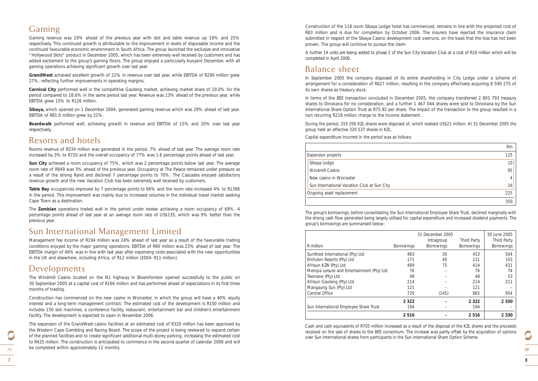## Gaming

Gaming revenue was 19% ahead of the previous year with slot and table revenue up 18% and 25% respectively. This continued growth is attributable to the improvement in levels of disposable income and the continued favourable economic environment in South Africa. The group launched the exclusive and innovative "Hollywood Slots" product in December 2005, which has been extremely well received by customers and has added excitement to the group's gaming floors. The group enjoyed a particularly buoyant December, with all gaming operations achieving significant growth over last year.

**GrandWest** achieved excellent growth of 22% in revenue over last year, while EBITDA of R290 million grew 27%, reflecting further improvements in operating margins.

**Carnival City** performed well in the competitive Gauteng market, achieving market share of 19.0% for the period compared to 18.6% in the same period last year. Revenue was 13% ahead of the previous year, while EBITDA grew 15% to R126 million.

**Sibaya,** which opened on 1 December 2004, generated gaming revenue which was 29% ahead of last year. EBITDA of R81.0 million grew by 21%.

**Boardwalk** performed well, achieving growth in revenue and EBITDA of 15% and 20% over last year respectively.

### Resorts and hotels

Rooms revenue of R334 million was generated in the period, 7% ahead of last year. The average room rate increased by 3% to R720 and the overall occupancy of 77% was 1.6 percentage points ahead of last year.

**Sun City** achieved a room occupancy of 75%, which was 2 percentage points below last year. The average room rate of R949 was 3% ahead of the previous year. Occupancy at The Palace remained under pressure as a result of the strong Rand and declined 7 percentage points to 70%. The Cascades enjoyed satisfactory revenue growth and the new Vacation Club has been extremely well received by customers.

**Table Bay** occupancies improved by 7 percentage points to 66% and the room rate increased 4% to R1386 in the period. This improvement was mainly due to increased volumes in the individual travel market seeking Cape Town as a destination.

The **Zambian** operations traded well in the period under review achieving a room occupancy of 69%, 4 percentage points ahead of last year at an average room rate of US\$135, which was 9% better than the previous year.

#### Sun International Management Limited

Management fee income of R194 million was 24% ahead of last year as a result of the favourable trading conditions enjoyed by the major gaming operations. EBITDA of R90 million was 23% ahead of last year. The EBITDA margin of 46% was in line with last year after expensing costs associated with the new opportunities in the UK and elsewhere, including Africa, of R12 million (2004: R11 million).

#### Developments

The Windmill Casino located on the N1 highway in Bloemfontein opened successfully to the public on 30 September 2005 at a capital cost of R166 million and has performed ahead of expectations in its first three months of trading.

Construction has commenced on the new casino in Worcester, in which the group will have a 40% equity interest and a long-term management contract. The estimated cost of the development is R150 million and includes 150 slot machines, a conference facility, restaurant, entertainment bar and children's entertainment facility. The development is expected to open in November 2006.

The expansion of the GrandWest casino facilities at an estimated cost of R320 million has been approved by the Western Cape Gambling and Racing Board. The scope of the project is being reviewed to expand certain of the planned facilities and to create significant additional multi-storey parking, increasing the estimated cost to R425 million. The construction is anticipated to commence in the second quarter of calendar 2006 and will be completed within approximately 12 months.

Construction of the 118 room Sibaya Lodge hotel has commenced, remains in line with the projected cost of R83 million and is due for completion by October 2006. The insurers have rejected the insurance claim submitted in respect of the Sibaya Casino development cost overruns, on the basis that the loss has not been proven. The group will continue to pursue the claim.

A further 14 units are being added to phase 2 of the Sun City Vacation Club at a cost of R16 million which will be completed in April 2006.

#### Balance sheet

In September 2005 the company disposed of its entire shareholding in City Lodge under a scheme of arrangement for a consideration of R627 million, resulting in the company effectively acquiring 8 590 275 of its own shares as treasury stock.

In terms of the BEE transaction concluded in December 2005, the company transferred 2 801 793 treasury shares to Dinokana for no consideration, and a further 1 467 044 shares were sold to Dinokana by the Sun International Share Option Trust at R75.92 per share. The impact of the transaction to the group resulted in a non recurring R218 million charge to the income statement.

During the period, 319 200 KZL shares were disposed of, which realised US\$21 million. At 31 December 2005 the group held an effective 320 537 shares in KZL.

Capital expenditure incurred in the period was as follows:

|                                             | Rm  |
|---------------------------------------------|-----|
| Expansion projects                          | 125 |
| Sibaya Lodge                                | 10  |
| Windmill Casino                             | 95  |
| New casino in Worcester                     |     |
| Sun International Vacation Club at Sun City | 16  |
| Ongoing asset replacement                   | 225 |
|                                             | 350 |

The group's borrowings, before consolidating the Sun International Employee Share Trust, declined marginally with the strong cash flow generated being largely utilised for capital expenditure and increased dividend payments. The group's borrowings are summarised below:

| Sun International Employee Share Trust     | 194<br>2516       |                                 | 194<br>2516                      | 2 3 3 0                                 |
|--------------------------------------------|-------------------|---------------------------------|----------------------------------|-----------------------------------------|
|                                            | 2 3 2 2           |                                 | 2 3 2 2                          | 2 3 3 0                                 |
| Central Office                             | 720               | (145)                           | 865                              | 954                                     |
| Mangaung Sun (Pty) Ltd                     | 121               |                                 | 121                              |                                         |
| Afrisun Gauteng (Pty) Ltd                  | 214               |                                 | 214                              | 211                                     |
| Teemane (Pty) Ltd                          | 48                |                                 | 48                               | 53                                      |
| Meropa Leisure and Entertainment (Pty) Ltd | 76                |                                 | 76                               | 74                                      |
| Afrisun KZN (Pty) Ltd                      | 489               | 75                              | 414                              | 431                                     |
| Emfuleni Resorts (Pty) Ltd                 | 171               | 40                              | 131                              | 103                                     |
| SunWest International (Pty) Ltd            | 483               | 30                              | 453                              | 504                                     |
| R million                                  | <b>Borrowings</b> | Intragroup<br><b>Borrowings</b> | Third Party<br><b>Borrowings</b> | <b>Third Party</b><br><b>Borrowings</b> |
|                                            |                   | 31 December 2005                |                                  | 30 June 2005                            |

Cash and cash equivalents of R705 million increased as a result of the disposal of the KZL shares and the proceeds received on the sale of shares to the BEE consortium. The increase was partly offset by the acquisition of options over Sun International shares from participants in the Sun International Share Option Scheme.

O